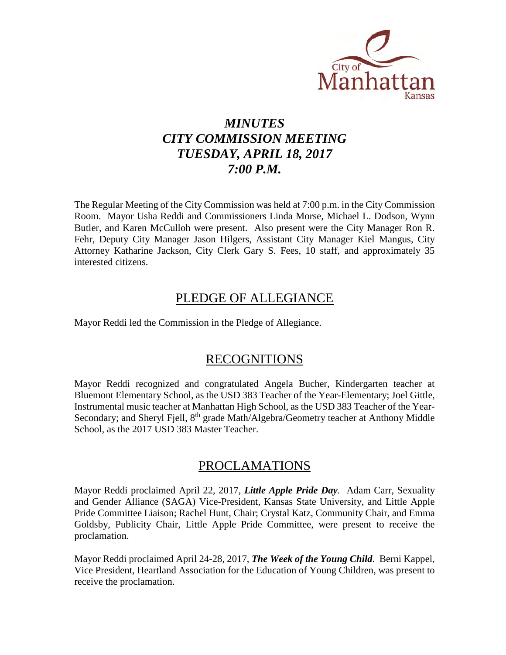

# *MINUTES CITY COMMISSION MEETING TUESDAY, APRIL 18, 2017 7:00 P.M.*

The Regular Meeting of the City Commission was held at 7:00 p.m. in the City Commission Room. Mayor Usha Reddi and Commissioners Linda Morse, Michael L. Dodson, Wynn Butler, and Karen McCulloh were present. Also present were the City Manager Ron R. Fehr, Deputy City Manager Jason Hilgers, Assistant City Manager Kiel Mangus, City Attorney Katharine Jackson, City Clerk Gary S. Fees, 10 staff, and approximately 35 interested citizens.

### PLEDGE OF ALLEGIANCE

Mayor Reddi led the Commission in the Pledge of Allegiance.

### RECOGNITIONS

Mayor Reddi recognized and congratulated Angela Bucher, Kindergarten teacher at Bluemont Elementary School, as the USD 383 Teacher of the Year-Elementary; Joel Gittle, Instrumental music teacher at Manhattan High School, as the USD 383 Teacher of the Year-Secondary; and Sheryl Fjell, 8<sup>th</sup> grade Math/Algebra/Geometry teacher at Anthony Middle School, as the 2017 USD 383 Master Teacher.

### PROCLAMATIONS

Mayor Reddi proclaimed April 22, 2017, *Little Apple Pride Day*. Adam Carr, Sexuality and Gender Alliance (SAGA) Vice-President, Kansas State University, and Little Apple Pride Committee Liaison; Rachel Hunt, Chair; Crystal Katz, Community Chair, and Emma Goldsby, Publicity Chair, Little Apple Pride Committee, were present to receive the proclamation.

Mayor Reddi proclaimed April 24-28, 2017, *The Week of the Young Child*. Berni Kappel, Vice President, Heartland Association for the Education of Young Children, was present to receive the proclamation.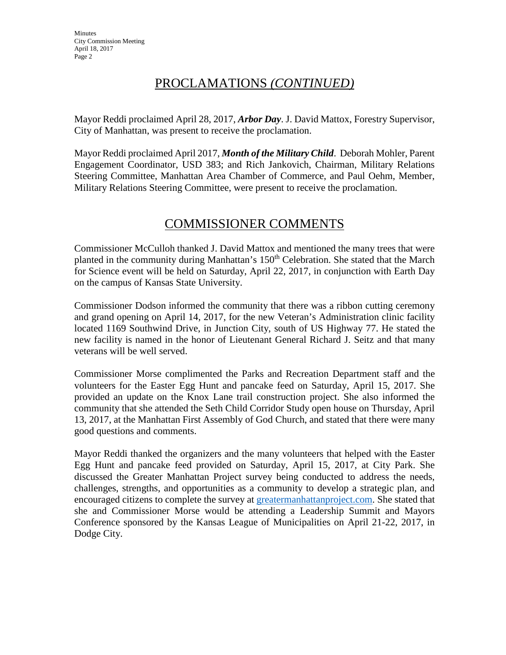# PROCLAMATIONS *(CONTINUED)*

Mayor Reddi proclaimed April 28, 2017, *Arbor Day*. J. David Mattox, Forestry Supervisor, City of Manhattan, was present to receive the proclamation.

Mayor Reddi proclaimed April 2017, *Month of the Military Child*. Deborah Mohler, Parent Engagement Coordinator, USD 383; and Rich Jankovich, Chairman, Military Relations Steering Committee, Manhattan Area Chamber of Commerce, and Paul Oehm, Member, Military Relations Steering Committee, were present to receive the proclamation.

# COMMISSIONER COMMENTS

Commissioner McCulloh thanked J. David Mattox and mentioned the many trees that were planted in the community during Manhattan's 150<sup>th</sup> Celebration. She stated that the March for Science event will be held on Saturday, April 22, 2017, in conjunction with Earth Day on the campus of Kansas State University.

Commissioner Dodson informed the community that there was a ribbon cutting ceremony and grand opening on April 14, 2017, for the new Veteran's Administration clinic facility located 1169 Southwind Drive, in Junction City, south of US Highway 77. He stated the new facility is named in the honor of Lieutenant General Richard J. Seitz and that many veterans will be well served.

Commissioner Morse complimented the Parks and Recreation Department staff and the volunteers for the Easter Egg Hunt and pancake feed on Saturday, April 15, 2017. She provided an update on the Knox Lane trail construction project. She also informed the community that she attended the Seth Child Corridor Study open house on Thursday, April 13, 2017, at the Manhattan First Assembly of God Church, and stated that there were many good questions and comments.

Mayor Reddi thanked the organizers and the many volunteers that helped with the Easter Egg Hunt and pancake feed provided on Saturday, April 15, 2017, at City Park. She discussed the Greater Manhattan Project survey being conducted to address the needs, challenges, strengths, and opportunities as a community to develop a strategic plan, and encouraged citizens to complete the survey at [greatermanhattanproject.com.](http://greatermanhattanproject.com/) She stated that she and Commissioner Morse would be attending a Leadership Summit and Mayors Conference sponsored by the Kansas League of Municipalities on April 21-22, 2017, in Dodge City.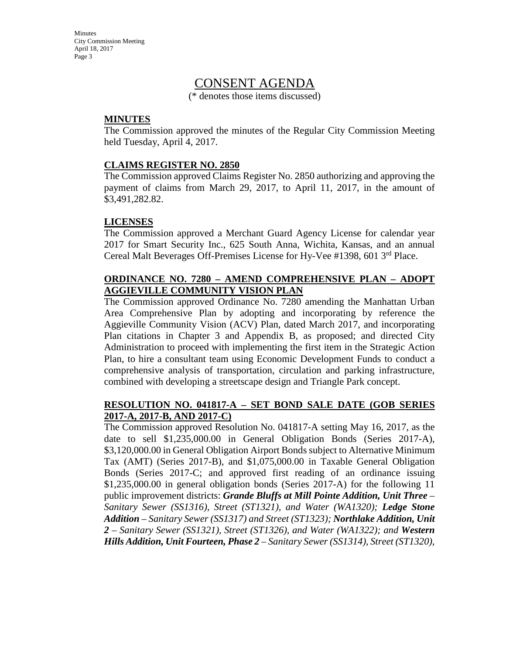### CONSENT AGENDA

(\* denotes those items discussed)

#### **MINUTES**

The Commission approved the minutes of the Regular City Commission Meeting held Tuesday, April 4, 2017.

#### **CLAIMS REGISTER NO. 2850**

The Commission approved Claims Register No. 2850 authorizing and approving the payment of claims from March 29, 2017, to April 11, 2017, in the amount of \$3,491,282.82.

#### **LICENSES**

The Commission approved a Merchant Guard Agency License for calendar year 2017 for Smart Security Inc., 625 South Anna, Wichita, Kansas, and an annual Cereal Malt Beverages Off-Premises License for Hy-Vee #1398, 601 3rd Place.

#### **ORDINANCE NO. 7280 – AMEND COMPREHENSIVE PLAN – ADOPT AGGIEVILLE COMMUNITY VISION PLAN**

The Commission approved Ordinance No. 7280 amending the Manhattan Urban Area Comprehensive Plan by adopting and incorporating by reference the Aggieville Community Vision (ACV) Plan, dated March 2017, and incorporating Plan citations in Chapter 3 and Appendix B, as proposed; and directed City Administration to proceed with implementing the first item in the Strategic Action Plan, to hire a consultant team using Economic Development Funds to conduct a comprehensive analysis of transportation, circulation and parking infrastructure, combined with developing a streetscape design and Triangle Park concept.

#### **RESOLUTION NO. 041817-A – SET BOND SALE DATE (GOB SERIES 2017-A, 2017-B, AND 2017-C)**

The Commission approved Resolution No. 041817-A setting May 16, 2017, as the date to sell \$1,235,000.00 in General Obligation Bonds (Series 2017-A), \$3,120,000.00 in General Obligation Airport Bonds subject to Alternative Minimum Tax (AMT) (Series 2017-B), and \$1,075,000.00 in Taxable General Obligation Bonds (Series 2017-C; and approved first reading of an ordinance issuing \$1,235,000.00 in general obligation bonds (Series 2017-A) for the following 11 public improvement districts: *Grande Bluffs at Mill Pointe Addition, Unit Three* – *Sanitary Sewer (SS1316), Street (ST1321), and Water (WA1320); Ledge Stone Addition – Sanitary Sewer (SS1317) and Street (ST1323); Northlake Addition, Unit 2 – Sanitary Sewer (SS1321), Street (ST1326), and Water (WA1322); and Western Hills Addition, Unit Fourteen, Phase 2 – Sanitary Sewer (SS1314), Street (ST1320),*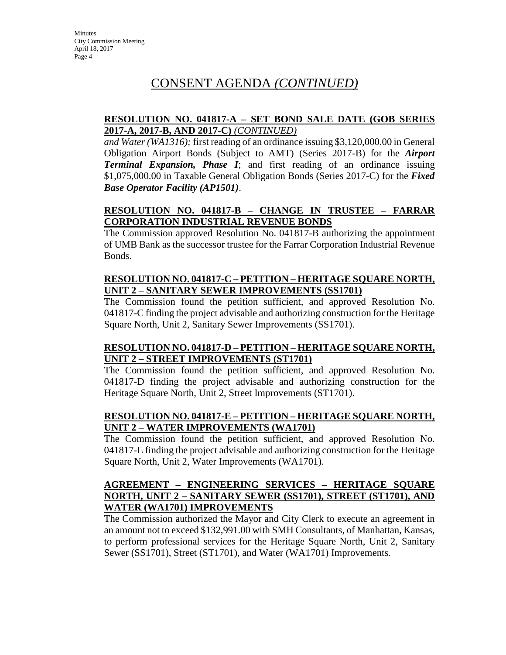#### **RESOLUTION NO. 041817-A – SET BOND SALE DATE (GOB SERIES 2017-A, 2017-B, AND 2017-C)** *(CONTINUED)*

*and Water (WA1316);* first reading of an ordinance issuing \$3,120,000.00 in General Obligation Airport Bonds (Subject to AMT) (Series 2017-B) for the *Airport Terminal Expansion, Phase I*; and first reading of an ordinance issuing \$1,075,000.00 in Taxable General Obligation Bonds (Series 2017-C) for the *Fixed Base Operator Facility (AP1501)*.

#### **RESOLUTION NO. 041817-B – CHANGE IN TRUSTEE – FARRAR CORPORATION INDUSTRIAL REVENUE BONDS**

The Commission approved Resolution No. 041817-B authorizing the appointment of UMB Bank as the successor trustee for the Farrar Corporation Industrial Revenue Bonds.

#### **RESOLUTION NO. 041817-C – PETITION – HERITAGE SQUARE NORTH, UNIT 2 – SANITARY SEWER IMPROVEMENTS (SS1701)**

The Commission found the petition sufficient, and approved Resolution No. 041817-C finding the project advisable and authorizing construction for the Heritage Square North, Unit 2, Sanitary Sewer Improvements (SS1701).

#### **RESOLUTION NO. 041817-D – PETITION – HERITAGE SQUARE NORTH, UNIT 2 – STREET IMPROVEMENTS (ST1701)**

The Commission found the petition sufficient, and approved Resolution No. 041817-D finding the project advisable and authorizing construction for the Heritage Square North, Unit 2, Street Improvements (ST1701).

#### **RESOLUTION NO. 041817-E – PETITION – HERITAGE SQUARE NORTH, UNIT 2 – WATER IMPROVEMENTS (WA1701)**

The Commission found the petition sufficient, and approved Resolution No. 041817-E finding the project advisable and authorizing construction for the Heritage Square North, Unit 2, Water Improvements (WA1701).

#### **AGREEMENT – ENGINEERING SERVICES – HERITAGE SQUARE NORTH, UNIT 2 – SANITARY SEWER (SS1701), STREET (ST1701), AND WATER (WA1701) IMPROVEMENTS**

The Commission authorized the Mayor and City Clerk to execute an agreement in an amount not to exceed \$132,991.00 with SMH Consultants, of Manhattan, Kansas, to perform professional services for the Heritage Square North, Unit 2, Sanitary Sewer (SS1701), Street (ST1701), and Water (WA1701) Improvements.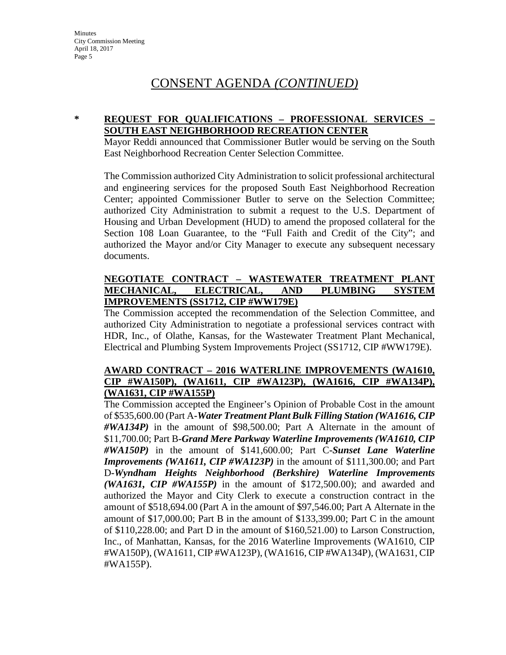#### **\* REQUEST FOR QUALIFICATIONS – PROFESSIONAL SERVICES – SOUTH EAST NEIGHBORHOOD RECREATION CENTER**

Mayor Reddi announced that Commissioner Butler would be serving on the South East Neighborhood Recreation Center Selection Committee.

The Commission authorized City Administration to solicit professional architectural and engineering services for the proposed South East Neighborhood Recreation Center; appointed Commissioner Butler to serve on the Selection Committee; authorized City Administration to submit a request to the U.S. Department of Housing and Urban Development (HUD) to amend the proposed collateral for the Section 108 Loan Guarantee, to the "Full Faith and Credit of the City"; and authorized the Mayor and/or City Manager to execute any subsequent necessary documents.

#### **NEGOTIATE CONTRACT – WASTEWATER TREATMENT PLANT MECHANICAL, ELECTRICAL, AND PLUMBING SYSTEM IMPROVEMENTS (SS1712, CIP #WW179E)**

The Commission accepted the recommendation of the Selection Committee, and authorized City Administration to negotiate a professional services contract with HDR, Inc., of Olathe, Kansas, for the Wastewater Treatment Plant Mechanical, Electrical and Plumbing System Improvements Project (SS1712, CIP #WW179E).

#### **AWARD CONTRACT – 2016 WATERLINE IMPROVEMENTS (WA1610, CIP #WA150P), (WA1611, CIP #WA123P), (WA1616, CIP #WA134P), (WA1631, CIP #WA155P)**

The Commission accepted the Engineer's Opinion of Probable Cost in the amount of \$535,600.00 (Part A**-***Water Treatment Plant Bulk Filling Station (WA1616, CIP #WA134P)* in the amount of \$98,500.00; Part A Alternate in the amount of \$11,700.00; Part B**-***Grand Mere Parkway Waterline Improvements (WA1610, CIP #WA150P)* in the amount of \$141,600.00; Part C**-***Sunset Lane Waterline Improvements (WA1611, CIP #WA123P)* in the amount of \$111,300.00; and Part D**-***Wyndham Heights Neighborhood (Berkshire) Waterline Improvements (WA1631, CIP #WA155P)* in the amount of \$172,500.00); and awarded and authorized the Mayor and City Clerk to execute a construction contract in the amount of \$518,694.00 (Part A in the amount of \$97,546.00; Part A Alternate in the amount of \$17,000.00; Part B in the amount of \$133,399.00; Part C in the amount of \$110,228.00; and Part D in the amount of \$160,521.00) to Larson Construction, Inc., of Manhattan, Kansas, for the 2016 Waterline Improvements (WA1610, CIP #WA150P), (WA1611, CIP #WA123P), (WA1616, CIP #WA134P), (WA1631, CIP #WA155P).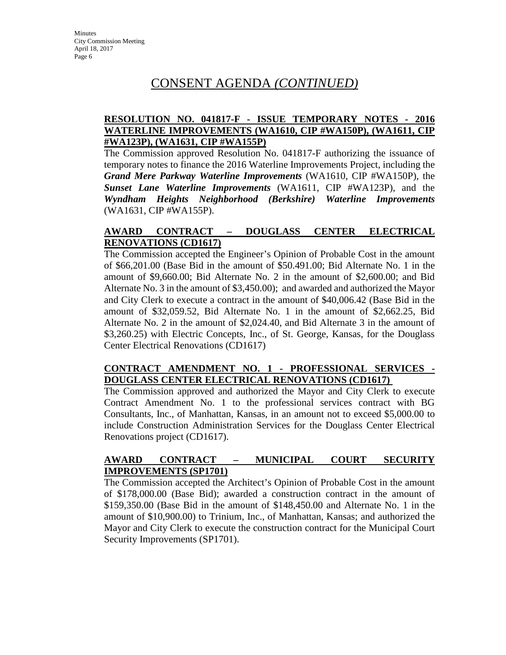#### **RESOLUTION NO. 041817-F - ISSUE TEMPORARY NOTES - 2016 WATERLINE IMPROVEMENTS (WA1610, CIP #WA150P), (WA1611, CIP #WA123P), (WA1631, CIP #WA155P)**

The Commission approved Resolution No. 041817-F authorizing the issuance of temporary notes to finance the 2016 Waterline Improvements Project, including the *Grand Mere Parkway Waterline Improvements* (WA1610, CIP #WA150P), the *Sunset Lane Waterline Improvements* (WA1611, CIP #WA123P), and the *Wyndham Heights Neighborhood (Berkshire) Waterline Improvements*  (WA1631, CIP #WA155P).

#### **AWARD CONTRACT – DOUGLASS CENTER ELECTRICAL RENOVATIONS (CD1617)**

The Commission accepted the Engineer's Opinion of Probable Cost in the amount of \$66,201.00 (Base Bid in the amount of \$50.491.00; Bid Alternate No. 1 in the amount of \$9,660.00; Bid Alternate No. 2 in the amount of \$2,600.00; and Bid Alternate No. 3 in the amount of \$3,450.00); and awarded and authorized the Mayor and City Clerk to execute a contract in the amount of \$40,006.42 (Base Bid in the amount of \$32,059.52, Bid Alternate No. 1 in the amount of \$2,662.25, Bid Alternate No. 2 in the amount of \$2,024.40, and Bid Alternate 3 in the amount of \$3,260.25) with Electric Concepts, Inc., of St. George, Kansas, for the Douglass Center Electrical Renovations (CD1617)

#### **CONTRACT AMENDMENT NO. 1 - PROFESSIONAL SERVICES - DOUGLASS CENTER ELECTRICAL RENOVATIONS (CD1617)**

The Commission approved and authorized the Mayor and City Clerk to execute Contract Amendment No. 1 to the professional services contract with BG Consultants, Inc., of Manhattan, Kansas, in an amount not to exceed \$5,000.00 to include Construction Administration Services for the Douglass Center Electrical Renovations project (CD1617).

#### **AWARD CONTRACT – MUNICIPAL COURT SECURITY IMPROVEMENTS (SP1701)**

The Commission accepted the Architect's Opinion of Probable Cost in the amount of \$178,000.00 (Base Bid); awarded a construction contract in the amount of \$159,350.00 (Base Bid in the amount of \$148,450.00 and Alternate No. 1 in the amount of \$10,900.00) to Trinium, Inc., of Manhattan, Kansas; and authorized the Mayor and City Clerk to execute the construction contract for the Municipal Court Security Improvements (SP1701).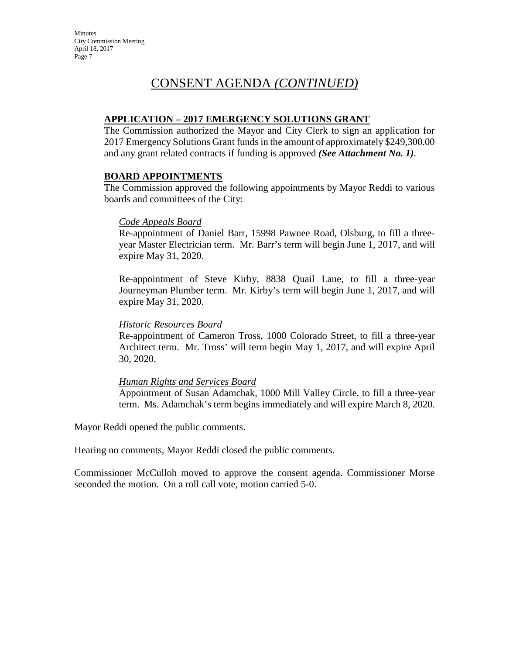#### **APPLICATION – 2017 EMERGENCY SOLUTIONS GRANT**

The Commission authorized the Mayor and City Clerk to sign an application for 2017 Emergency Solutions Grant funds in the amount of approximately \$249,300.00 and any grant related contracts if funding is approved *(See Attachment No. 1)*.

#### **BOARD APPOINTMENTS**

The Commission approved the following appointments by Mayor Reddi to various boards and committees of the City:

#### *Code Appeals Board*

Re-appointment of Daniel Barr, 15998 Pawnee Road, Olsburg, to fill a threeyear Master Electrician term. Mr. Barr's term will begin June 1, 2017, and will expire May 31, 2020.

Re-appointment of Steve Kirby, 8838 Quail Lane, to fill a three-year Journeyman Plumber term. Mr. Kirby's term will begin June 1, 2017, and will expire May 31, 2020.

#### *Historic Resources Board*

Re-appointment of Cameron Tross, 1000 Colorado Street, to fill a three-year Architect term. Mr. Tross' will term begin May 1, 2017, and will expire April 30, 2020.

#### *Human Rights and Services Board*

Appointment of Susan Adamchak, 1000 Mill Valley Circle, to fill a three-year term. Ms. Adamchak's term begins immediately and will expire March 8, 2020.

Mayor Reddi opened the public comments.

Hearing no comments, Mayor Reddi closed the public comments.

Commissioner McCulloh moved to approve the consent agenda. Commissioner Morse seconded the motion. On a roll call vote, motion carried 5-0.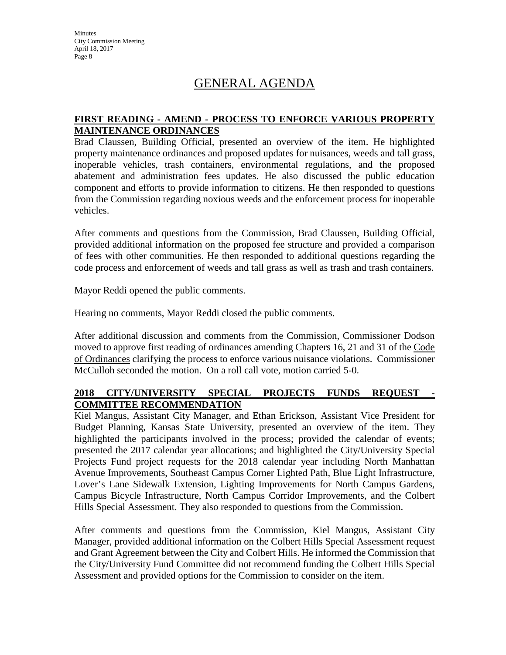# GENERAL AGENDA

#### **FIRST READING - AMEND - PROCESS TO ENFORCE VARIOUS PROPERTY MAINTENANCE ORDINANCES**

Brad Claussen, Building Official, presented an overview of the item. He highlighted property maintenance ordinances and proposed updates for nuisances, weeds and tall grass, inoperable vehicles, trash containers, environmental regulations, and the proposed abatement and administration fees updates. He also discussed the public education component and efforts to provide information to citizens. He then responded to questions from the Commission regarding noxious weeds and the enforcement process for inoperable vehicles.

After comments and questions from the Commission, Brad Claussen, Building Official, provided additional information on the proposed fee structure and provided a comparison of fees with other communities. He then responded to additional questions regarding the code process and enforcement of weeds and tall grass as well as trash and trash containers.

Mayor Reddi opened the public comments.

Hearing no comments, Mayor Reddi closed the public comments.

After additional discussion and comments from the Commission, Commissioner Dodson moved to approve first reading of ordinances amending Chapters 16, 21 and 31 of the Code of Ordinances clarifying the process to enforce various nuisance violations. Commissioner McCulloh seconded the motion. On a roll call vote, motion carried 5-0.

#### **2018 CITY/UNIVERSITY SPECIAL PROJECTS FUNDS REQUEST - COMMITTEE RECOMMENDATION**

Kiel Mangus, Assistant City Manager, and Ethan Erickson, Assistant Vice President for Budget Planning, Kansas State University, presented an overview of the item. They highlighted the participants involved in the process; provided the calendar of events; presented the 2017 calendar year allocations; and highlighted the City/University Special Projects Fund project requests for the 2018 calendar year including North Manhattan Avenue Improvements, Southeast Campus Corner Lighted Path, Blue Light Infrastructure, Lover's Lane Sidewalk Extension, Lighting Improvements for North Campus Gardens, Campus Bicycle Infrastructure, North Campus Corridor Improvements, and the Colbert Hills Special Assessment. They also responded to questions from the Commission.

After comments and questions from the Commission, Kiel Mangus, Assistant City Manager, provided additional information on the Colbert Hills Special Assessment request and Grant Agreement between the City and Colbert Hills. He informed the Commission that the City/University Fund Committee did not recommend funding the Colbert Hills Special Assessment and provided options for the Commission to consider on the item.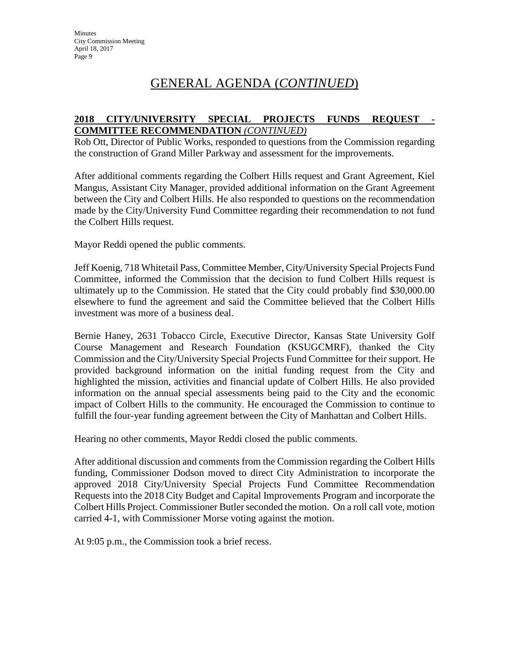#### **2018 CITY/UNIVERSITY SPECIAL PROJECTS FUNDS REQUEST - COMMITTEE RECOMMENDATION** *(CONTINUED)*

Rob Ott, Director of Public Works, responded to questions from the Commission regarding the construction of Grand Miller Parkway and assessment for the improvements.

After additional comments regarding the Colbert Hills request and Grant Agreement, Kiel Mangus, Assistant City Manager, provided additional information on the Grant Agreement between the City and Colbert Hills. He also responded to questions on the recommendation made by the City/University Fund Committee regarding their recommendation to not fund the Colbert Hills request.

Mayor Reddi opened the public comments.

Jeff Koenig, 718 Whitetail Pass, Committee Member, City/University Special Projects Fund Committee, informed the Commission that the decision to fund Colbert Hills request is ultimately up to the Commission. He stated that the City could probably find \$30,000.00 elsewhere to fund the agreement and said the Committee believed that the Colbert Hills investment was more of a business deal.

Bernie Haney, 2631 Tobacco Circle, Executive Director, Kansas State University Golf Course Management and Research Foundation (KSUGCMRF), thanked the City Commission and the City/University Special Projects Fund Committee for their support. He provided background information on the initial funding request from the City and highlighted the mission, activities and financial update of Colbert Hills. He also provided information on the annual special assessments being paid to the City and the economic impact of Colbert Hills to the community. He encouraged the Commission to continue to fulfill the four-year funding agreement between the City of Manhattan and Colbert Hills.

Hearing no other comments, Mayor Reddi closed the public comments.

After additional discussion and comments from the Commission regarding the Colbert Hills funding, Commissioner Dodson moved to direct City Administration to incorporate the approved 2018 City/University Special Projects Fund Committee Recommendation Requests into the 2018 City Budget and Capital Improvements Program and incorporate the Colbert Hills Project. Commissioner Butlerseconded the motion. On a roll call vote, motion carried 4-1, with Commissioner Morse voting against the motion.

At 9:05 p.m., the Commission took a brief recess.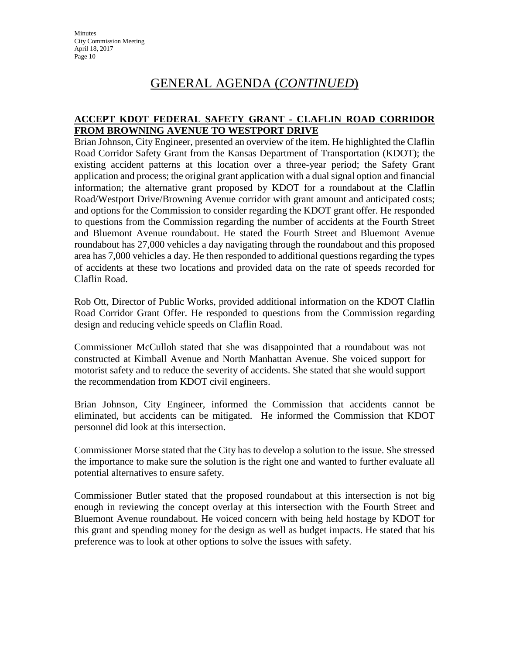#### **ACCEPT KDOT FEDERAL SAFETY GRANT - CLAFLIN ROAD CORRIDOR FROM BROWNING AVENUE TO WESTPORT DRIVE**

Brian Johnson, City Engineer, presented an overview of the item. He highlighted the Claflin Road Corridor Safety Grant from the Kansas Department of Transportation (KDOT); the existing accident patterns at this location over a three-year period; the Safety Grant application and process; the original grant application with a dual signal option and financial information; the alternative grant proposed by KDOT for a roundabout at the Claflin Road/Westport Drive/Browning Avenue corridor with grant amount and anticipated costs; and options for the Commission to consider regarding the KDOT grant offer. He responded to questions from the Commission regarding the number of accidents at the Fourth Street and Bluemont Avenue roundabout. He stated the Fourth Street and Bluemont Avenue roundabout has 27,000 vehicles a day navigating through the roundabout and this proposed area has 7,000 vehicles a day. He then responded to additional questions regarding the types of accidents at these two locations and provided data on the rate of speeds recorded for Claflin Road.

Rob Ott, Director of Public Works, provided additional information on the KDOT Claflin Road Corridor Grant Offer. He responded to questions from the Commission regarding design and reducing vehicle speeds on Claflin Road.

Commissioner McCulloh stated that she was disappointed that a roundabout was not constructed at Kimball Avenue and North Manhattan Avenue. She voiced support for motorist safety and to reduce the severity of accidents. She stated that she would support the recommendation from KDOT civil engineers.

Brian Johnson, City Engineer, informed the Commission that accidents cannot be eliminated, but accidents can be mitigated. He informed the Commission that KDOT personnel did look at this intersection.

Commissioner Morse stated that the City has to develop a solution to the issue. She stressed the importance to make sure the solution is the right one and wanted to further evaluate all potential alternatives to ensure safety.

Commissioner Butler stated that the proposed roundabout at this intersection is not big enough in reviewing the concept overlay at this intersection with the Fourth Street and Bluemont Avenue roundabout. He voiced concern with being held hostage by KDOT for this grant and spending money for the design as well as budget impacts. He stated that his preference was to look at other options to solve the issues with safety.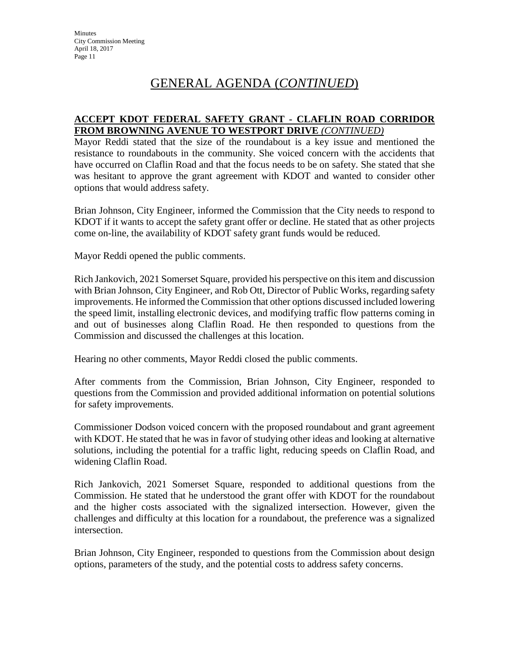#### **ACCEPT KDOT FEDERAL SAFETY GRANT - CLAFLIN ROAD CORRIDOR FROM BROWNING AVENUE TO WESTPORT DRIVE** *(CONTINUED)*

Mayor Reddi stated that the size of the roundabout is a key issue and mentioned the resistance to roundabouts in the community. She voiced concern with the accidents that have occurred on Claflin Road and that the focus needs to be on safety. She stated that she was hesitant to approve the grant agreement with KDOT and wanted to consider other options that would address safety.

Brian Johnson, City Engineer, informed the Commission that the City needs to respond to KDOT if it wants to accept the safety grant offer or decline. He stated that as other projects come on-line, the availability of KDOT safety grant funds would be reduced.

Mayor Reddi opened the public comments.

Rich Jankovich, 2021 Somerset Square, provided his perspective on this item and discussion with Brian Johnson, City Engineer, and Rob Ott, Director of Public Works, regarding safety improvements. He informed the Commission that other options discussed included lowering the speed limit, installing electronic devices, and modifying traffic flow patterns coming in and out of businesses along Claflin Road. He then responded to questions from the Commission and discussed the challenges at this location.

Hearing no other comments, Mayor Reddi closed the public comments.

After comments from the Commission, Brian Johnson, City Engineer, responded to questions from the Commission and provided additional information on potential solutions for safety improvements.

Commissioner Dodson voiced concern with the proposed roundabout and grant agreement with KDOT. He stated that he was in favor of studying other ideas and looking at alternative solutions, including the potential for a traffic light, reducing speeds on Claflin Road, and widening Claflin Road.

Rich Jankovich, 2021 Somerset Square, responded to additional questions from the Commission. He stated that he understood the grant offer with KDOT for the roundabout and the higher costs associated with the signalized intersection. However, given the challenges and difficulty at this location for a roundabout, the preference was a signalized intersection.

Brian Johnson, City Engineer, responded to questions from the Commission about design options, parameters of the study, and the potential costs to address safety concerns.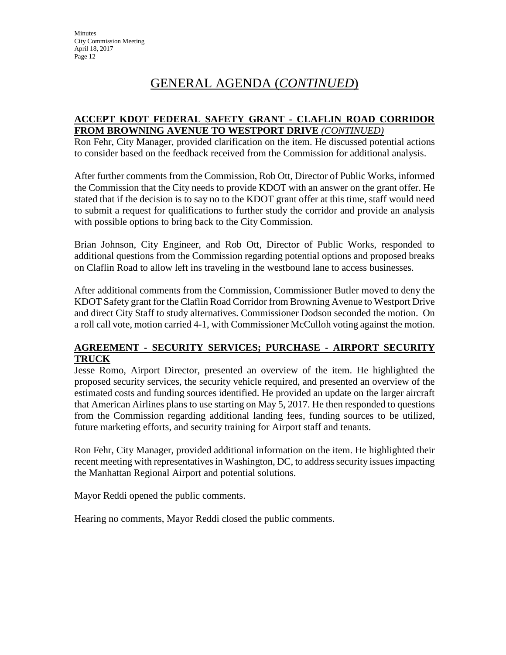#### **ACCEPT KDOT FEDERAL SAFETY GRANT - CLAFLIN ROAD CORRIDOR FROM BROWNING AVENUE TO WESTPORT DRIVE** *(CONTINUED)*

Ron Fehr, City Manager, provided clarification on the item. He discussed potential actions to consider based on the feedback received from the Commission for additional analysis.

After further comments from the Commission, Rob Ott, Director of Public Works, informed the Commission that the City needs to provide KDOT with an answer on the grant offer. He stated that if the decision is to say no to the KDOT grant offer at this time, staff would need to submit a request for qualifications to further study the corridor and provide an analysis with possible options to bring back to the City Commission.

Brian Johnson, City Engineer, and Rob Ott, Director of Public Works, responded to additional questions from the Commission regarding potential options and proposed breaks on Claflin Road to allow left ins traveling in the westbound lane to access businesses.

After additional comments from the Commission, Commissioner Butler moved to deny the KDOT Safety grant for the Claflin Road Corridor from Browning Avenue to Westport Drive and direct City Staff to study alternatives. Commissioner Dodson seconded the motion. On a roll call vote, motion carried 4-1, with Commissioner McCulloh voting against the motion.

#### **AGREEMENT - SECURITY SERVICES; PURCHASE - AIRPORT SECURITY TRUCK**

Jesse Romo, Airport Director, presented an overview of the item. He highlighted the proposed security services, the security vehicle required, and presented an overview of the estimated costs and funding sources identified. He provided an update on the larger aircraft that American Airlines plans to use starting on May 5, 2017. He then responded to questions from the Commission regarding additional landing fees, funding sources to be utilized, future marketing efforts, and security training for Airport staff and tenants.

Ron Fehr, City Manager, provided additional information on the item. He highlighted their recent meeting with representatives in Washington, DC, to address security issues impacting the Manhattan Regional Airport and potential solutions.

Mayor Reddi opened the public comments.

Hearing no comments, Mayor Reddi closed the public comments.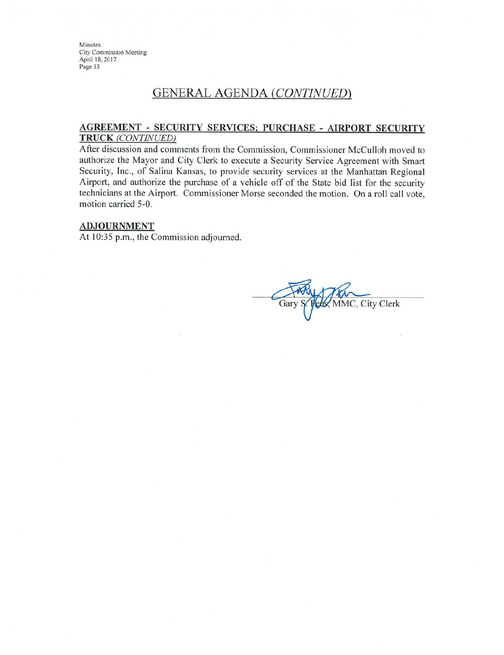### **GENERAL AGENDA (CONTINUED)**

#### **AGREEMENT - SECURITY SERVICES; PURCHASE - AIRPORT SECURITY TRUCK** (CONTINUED)

After discussion and comments from the Commission, Commissioner McCulloh moved to authorize the Mayor and City Clerk to execute a Security Service Agreement with Smart Security, Inc., of Salina Kansas, to provide security services at the Manhattan Regional Airport, and authorize the purchase of a vehicle off of the State bid list for the security technicians at the Airport. Commissioner Morse seconded the motion. On a roll call vote, motion carried 5-0.

#### **ADJOURNMENT**

At 10:35 p.m., the Commission adjourned.

MMC, City Clerk